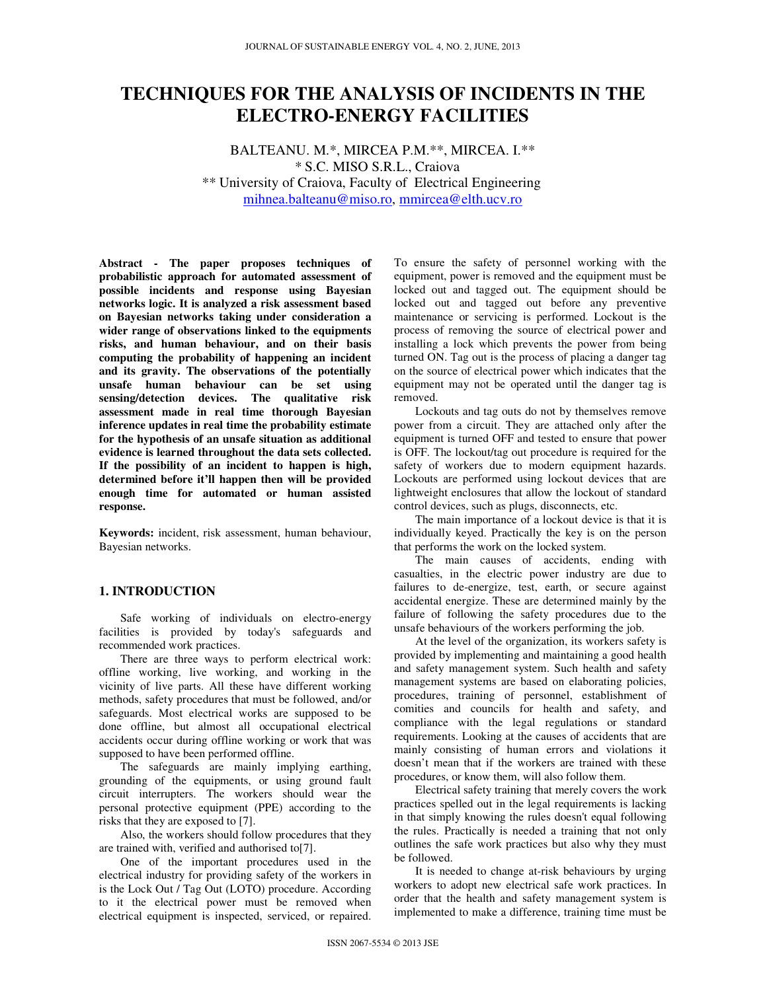# **TECHNIQUES FOR THE ANALYSIS OF INCIDENTS IN THE ELECTRO-ENERGY FACILITIES**

BALTEANU. M.\*, MIRCEA P.M.\*\*, MIRCEA. I.\*\* \* S.C. MISO S.R.L., Craiova \*\* University of Craiova, Faculty of Electrical Engineering mihnea.balteanu@miso.ro, mmircea@elth.ucv.ro

**Abstract - The paper proposes techniques of probabilistic approach for automated assessment of possible incidents and response using Bayesian networks logic. It is analyzed a risk assessment based on Bayesian networks taking under consideration a wider range of observations linked to the equipments risks, and human behaviour, and on their basis computing the probability of happening an incident and its gravity. The observations of the potentially unsafe human behaviour can be set using sensing/detection devices. The qualitative risk assessment made in real time thorough Bayesian inference updates in real time the probability estimate for the hypothesis of an unsafe situation as additional evidence is learned throughout the data sets collected. If the possibility of an incident to happen is high, determined before it'll happen then will be provided enough time for automated or human assisted response.** 

**Keywords:** incident, risk assessment, human behaviour, Bayesian networks.

## **1. INTRODUCTION**

Safe working of individuals on electro-energy facilities is provided by today's safeguards and recommended work practices.

There are three ways to perform electrical work: offline working, live working, and working in the vicinity of live parts. All these have different working methods, safety procedures that must be followed, and/or safeguards. Most electrical works are supposed to be done offline, but almost all occupational electrical accidents occur during offline working or work that was supposed to have been performed offline.

The safeguards are mainly implying earthing, grounding of the equipments, or using ground fault circuit interrupters. The workers should wear the personal protective equipment (PPE) according to the risks that they are exposed to [7].

Also, the workers should follow procedures that they are trained with, verified and authorised to[7].

One of the important procedures used in the electrical industry for providing safety of the workers in is the Lock Out / Tag Out (LOTO) procedure. According to it the electrical power must be removed when electrical equipment is inspected, serviced, or repaired.

To ensure the safety of personnel working with the equipment, power is removed and the equipment must be locked out and tagged out. The equipment should be locked out and tagged out before any preventive maintenance or servicing is performed. Lockout is the process of removing the source of electrical power and installing a lock which prevents the power from being turned ON. Tag out is the process of placing a danger tag on the source of electrical power which indicates that the equipment may not be operated until the danger tag is removed.

Lockouts and tag outs do not by themselves remove power from a circuit. They are attached only after the equipment is turned OFF and tested to ensure that power is OFF. The lockout/tag out procedure is required for the safety of workers due to modern equipment hazards. Lockouts are performed using lockout devices that are lightweight enclosures that allow the lockout of standard control devices, such as plugs, disconnects, etc.

The main importance of a lockout device is that it is individually keyed. Practically the key is on the person that performs the work on the locked system.

The main causes of accidents, ending with casualties, in the electric power industry are due to failures to de-energize, test, earth, or secure against accidental energize. These are determined mainly by the failure of following the safety procedures due to the unsafe behaviours of the workers performing the job.

At the level of the organization, its workers safety is provided by implementing and maintaining a good health and safety management system. Such health and safety management systems are based on elaborating policies, procedures, training of personnel, establishment of comities and councils for health and safety, and compliance with the legal regulations or standard requirements. Looking at the causes of accidents that are mainly consisting of human errors and violations it doesn't mean that if the workers are trained with these procedures, or know them, will also follow them.

Electrical safety training that merely covers the work practices spelled out in the legal requirements is lacking in that simply knowing the rules doesn't equal following the rules. Practically is needed a training that not only outlines the safe work practices but also why they must be followed.

It is needed to change at-risk behaviours by urging workers to adopt new electrical safe work practices. In order that the health and safety management system is implemented to make a difference, training time must be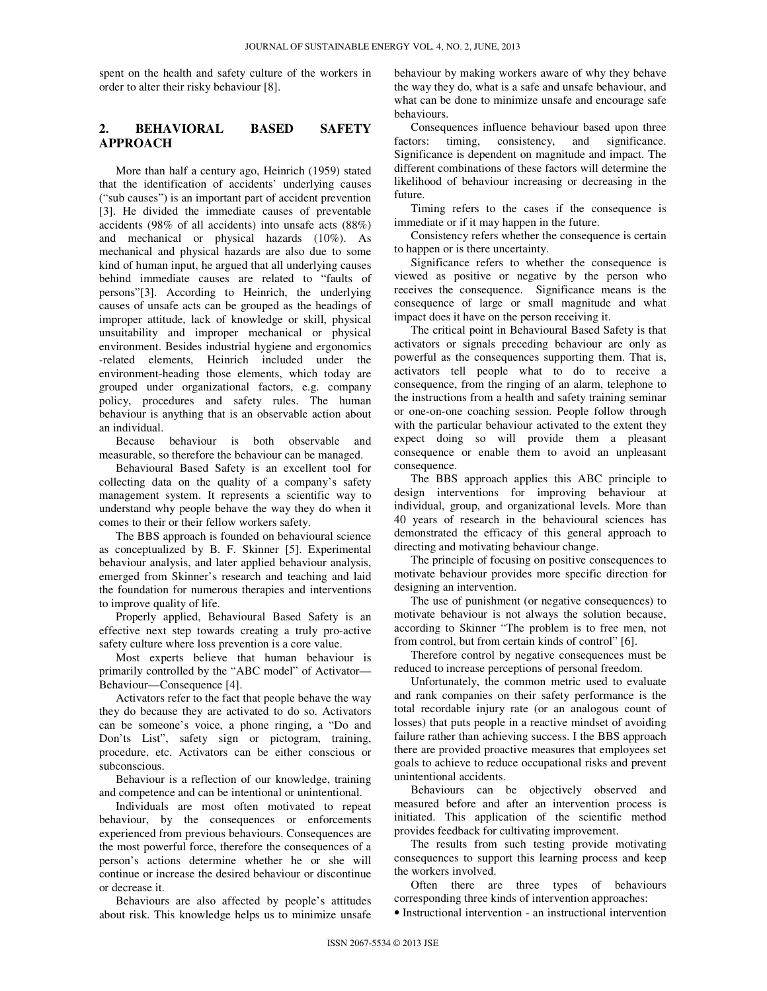spent on the health and safety culture of the workers in order to alter their risky behaviour [8].

### **2. BEHAVIORAL BASED SAFETY APPROACH**

More than half a century ago, Heinrich (1959) stated that the identification of accidents' underlying causes ("sub causes") is an important part of accident prevention [3]. He divided the immediate causes of preventable accidents (98% of all accidents) into unsafe acts (88%) and mechanical or physical hazards (10%). As mechanical and physical hazards are also due to some kind of human input, he argued that all underlying causes behind immediate causes are related to "faults of persons"[3]. According to Heinrich, the underlying causes of unsafe acts can be grouped as the headings of improper attitude, lack of knowledge or skill, physical unsuitability and improper mechanical or physical environment. Besides industrial hygiene and ergonomics -related elements, Heinrich included under the environment-heading those elements, which today are grouped under organizational factors, e.g. company policy, procedures and safety rules. The human behaviour is anything that is an observable action about an individual.

Because behaviour is both observable and measurable, so therefore the behaviour can be managed.

Behavioural Based Safety is an excellent tool for collecting data on the quality of a company's safety management system. It represents a scientific way to understand why people behave the way they do when it comes to their or their fellow workers safety.

The BBS approach is founded on behavioural science as conceptualized by B. F. Skinner [5]. Experimental behaviour analysis, and later applied behaviour analysis, emerged from Skinner's research and teaching and laid the foundation for numerous therapies and interventions to improve quality of life.

Properly applied, Behavioural Based Safety is an effective next step towards creating a truly pro-active safety culture where loss prevention is a core value.

Most experts believe that human behaviour is primarily controlled by the "ABC model" of Activator— Behaviour—Consequence [4].

Activators refer to the fact that people behave the way they do because they are activated to do so. Activators can be someone's voice, a phone ringing, a "Do and Don'ts List", safety sign or pictogram, training, procedure, etc. Activators can be either conscious or subconscious.

Behaviour is a reflection of our knowledge, training and competence and can be intentional or unintentional.

Individuals are most often motivated to repeat behaviour, by the consequences or enforcements experienced from previous behaviours. Consequences are the most powerful force, therefore the consequences of a person's actions determine whether he or she will continue or increase the desired behaviour or discontinue or decrease it.

Behaviours are also affected by people's attitudes about risk. This knowledge helps us to minimize unsafe behaviour by making workers aware of why they behave the way they do, what is a safe and unsafe behaviour, and what can be done to minimize unsafe and encourage safe behaviours.

Consequences influence behaviour based upon three factors: timing, consistency, and significance. Significance is dependent on magnitude and impact. The different combinations of these factors will determine the likelihood of behaviour increasing or decreasing in the future.

Timing refers to the cases if the consequence is immediate or if it may happen in the future.

Consistency refers whether the consequence is certain to happen or is there uncertainty.

Significance refers to whether the consequence is viewed as positive or negative by the person who receives the consequence. Significance means is the consequence of large or small magnitude and what impact does it have on the person receiving it.

The critical point in Behavioural Based Safety is that activators or signals preceding behaviour are only as powerful as the consequences supporting them. That is, activators tell people what to do to receive a consequence, from the ringing of an alarm, telephone to the instructions from a health and safety training seminar or one-on-one coaching session. People follow through with the particular behaviour activated to the extent they expect doing so will provide them a pleasant consequence or enable them to avoid an unpleasant consequence.

The BBS approach applies this ABC principle to design interventions for improving behaviour at individual, group, and organizational levels. More than 40 years of research in the behavioural sciences has demonstrated the efficacy of this general approach to directing and motivating behaviour change.

The principle of focusing on positive consequences to motivate behaviour provides more specific direction for designing an intervention.

The use of punishment (or negative consequences) to motivate behaviour is not always the solution because, according to Skinner "The problem is to free men, not from control, but from certain kinds of control" [6].

Therefore control by negative consequences must be reduced to increase perceptions of personal freedom.

Unfortunately, the common metric used to evaluate and rank companies on their safety performance is the total recordable injury rate (or an analogous count of losses) that puts people in a reactive mindset of avoiding failure rather than achieving success. I the BBS approach there are provided proactive measures that employees set goals to achieve to reduce occupational risks and prevent unintentional accidents.

Behaviours can be objectively observed and measured before and after an intervention process is initiated. This application of the scientific method provides feedback for cultivating improvement.

The results from such testing provide motivating consequences to support this learning process and keep the workers involved.

Often there are three types of behaviours corresponding three kinds of intervention approaches:

• Instructional intervention - an instructional intervention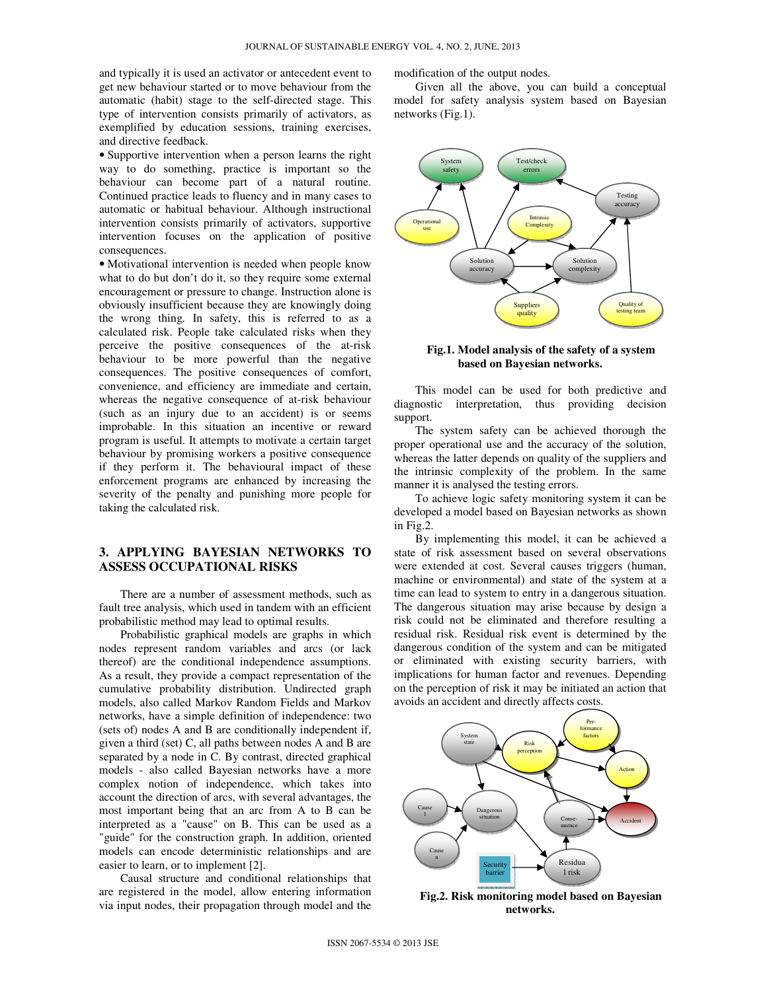and typically it is used an activator or antecedent event to get new behaviour started or to move behaviour from the automatic (habit) stage to the self-directed stage. This type of intervention consists primarily of activators, as exemplified by education sessions, training exercises, and directive feedback.

• Supportive intervention when a person learns the right way to do something, practice is important so the behaviour can become part of a natural routine. Continued practice leads to fluency and in many cases to automatic or habitual behaviour. Although instructional intervention consists primarily of activators, supportive intervention focuses on the application of positive consequences.

• Motivational intervention is needed when people know what to do but don't do it, so they require some external encouragement or pressure to change. Instruction alone is obviously insufficient because they are knowingly doing the wrong thing. In safety, this is referred to as a calculated risk. People take calculated risks when they perceive the positive consequences of the at-risk behaviour to be more powerful than the negative consequences. The positive consequences of comfort, convenience, and efficiency are immediate and certain, whereas the negative consequence of at-risk behaviour (such as an injury due to an accident) is or seems improbable. In this situation an incentive or reward program is useful. It attempts to motivate a certain target behaviour by promising workers a positive consequence if they perform it. The behavioural impact of these enforcement programs are enhanced by increasing the severity of the penalty and punishing more people for taking the calculated risk.

## **3. APPLYING BAYESIAN NETWORKS TO ASSESS OCCUPATIONAL RISKS**

There are a number of assessment methods, such as fault tree analysis, which used in tandem with an efficient probabilistic method may lead to optimal results.

Probabilistic graphical models are graphs in which nodes represent random variables and arcs (or lack thereof) are the conditional independence assumptions. As a result, they provide a compact representation of the cumulative probability distribution. Undirected graph models, also called Markov Random Fields and Markov networks, have a simple definition of independence: two (sets of) nodes A and B are conditionally independent if, given a third (set) C, all paths between nodes A and B are separated by a node in C. By contrast, directed graphical models - also called Bayesian networks have a more complex notion of independence, which takes into account the direction of arcs, with several advantages, the most important being that an arc from A to B can be interpreted as a "cause" on B. This can be used as a "guide" for the construction graph. In addition, oriented models can encode deterministic relationships and are easier to learn, or to implement [2].

Causal structure and conditional relationships that are registered in the model, allow entering information via input nodes, their propagation through model and the

modification of the output nodes.

Given all the above, you can build a conceptual model for safety analysis system based on Bayesian networks (Fig.1).



#### **Fig.1. Model analysis of the safety of a system based on Bayesian networks.**

This model can be used for both predictive and diagnostic interpretation, thus providing decision support.

The system safety can be achieved thorough the proper operational use and the accuracy of the solution, whereas the latter depends on quality of the suppliers and the intrinsic complexity of the problem. In the same manner it is analysed the testing errors.

To achieve logic safety monitoring system it can be developed a model based on Bayesian networks as shown in Fig.2.

By implementing this model, it can be achieved a state of risk assessment based on several observations were extended at cost. Several causes triggers (human, machine or environmental) and state of the system at a time can lead to system to entry in a dangerous situation. The dangerous situation may arise because by design a risk could not be eliminated and therefore resulting a residual risk. Residual risk event is determined by the dangerous condition of the system and can be mitigated or eliminated with existing security barriers, with implications for human factor and revenues. Depending on the perception of risk it may be initiated an action that avoids an accident and directly affects costs.



**Fig.2. Risk monitoring model based on Bayesian networks.**